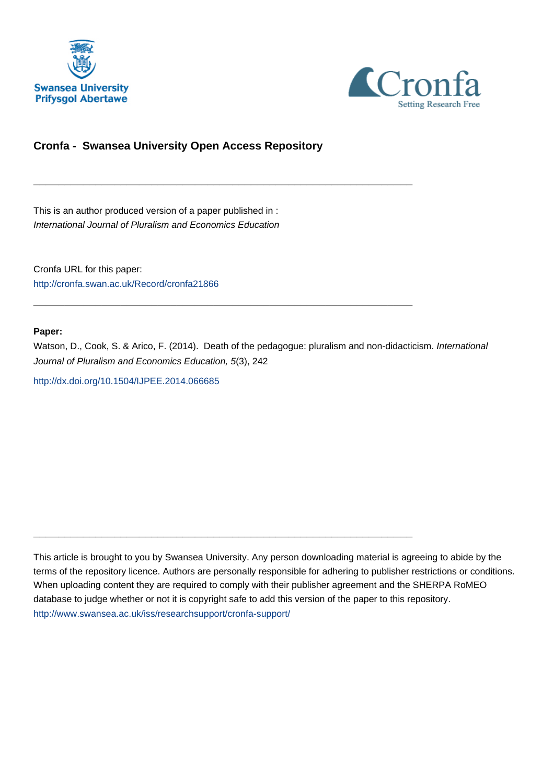



# **Cronfa - Swansea University Open Access Repository**

\_\_\_\_\_\_\_\_\_\_\_\_\_\_\_\_\_\_\_\_\_\_\_\_\_\_\_\_\_\_\_\_\_\_\_\_\_\_\_\_\_\_\_\_\_\_\_\_\_\_\_\_\_\_\_\_\_\_\_\_\_

 $\_$  , and the set of the set of the set of the set of the set of the set of the set of the set of the set of the set of the set of the set of the set of the set of the set of the set of the set of the set of the set of th

 $\_$  , and the set of the set of the set of the set of the set of the set of the set of the set of the set of the set of the set of the set of the set of the set of the set of the set of the set of the set of the set of th

This is an author produced version of a paper published in : International Journal of Pluralism and Economics Education

Cronfa URL for this paper: <http://cronfa.swan.ac.uk/Record/cronfa21866>

#### **Paper:**

Watson, D., Cook, S. & Arico, F. (2014). Death of the pedagogue: pluralism and non-didacticism. International Journal of Pluralism and Economics Education, 5(3), 242

[http://dx.doi.org/10.1504/IJPEE.2014.066685](http://dx.doi.org/10.1504/IJPEE.2014.066685 ) 

This article is brought to you by Swansea University. Any person downloading material is agreeing to abide by the terms of the repository licence. Authors are personally responsible for adhering to publisher restrictions or conditions. When uploading content they are required to comply with their publisher agreement and the SHERPA RoMEO database to judge whether or not it is copyright safe to add this version of the paper to this repository. [http://www.swansea.ac.uk/iss/researchsupport/cronfa-support/](http://www.swansea.ac.uk/iss/researchsupport/cronfa-support/ )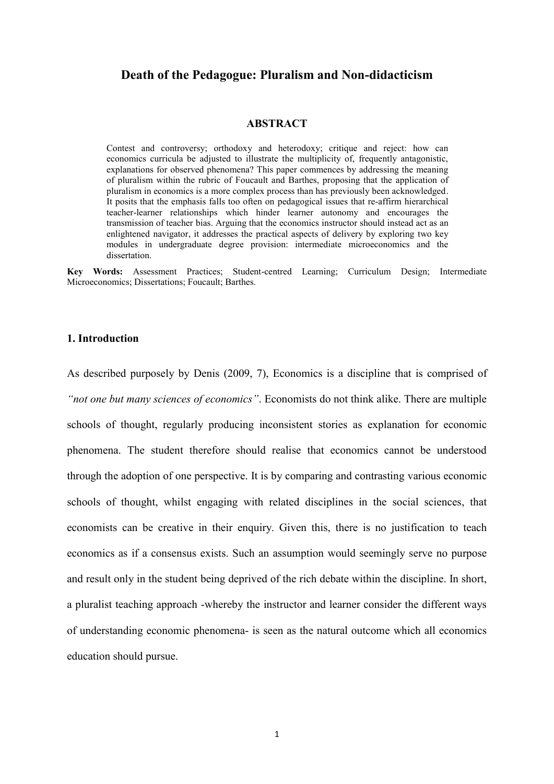## **Death of the Pedagogue: Pluralism and Non-didacticism**

#### **ABSTRACT**

Contest and controversy; orthodoxy and heterodoxy; critique and reject: how can economics curricula be adjusted to illustrate the multiplicity of, frequently antagonistic, explanations for observed phenomena? This paper commences by addressing the meaning of pluralism within the rubric of Foucault and Barthes, proposing that the application of pluralism in economics is a more complex process than has previously been acknowledged. It posits that the emphasis falls too often on pedagogical issues that re-affirm hierarchical teacher-learner relationships which hinder learner autonomy and encourages the transmission of teacher bias. Arguing that the economics instructor should instead act as an enlightened navigator, it addresses the practical aspects of delivery by exploring two key modules in undergraduate degree provision: intermediate microeconomics and the dissertation.

**Key Words:** Assessment Practices; Student-centred Learning; Curriculum Design; Intermediate Microeconomics; Dissertations; Foucault; Barthes.

#### **1. Introduction**

As described purposely by Denis (2009, 7), Economics is a discipline that is comprised of *"not one but many sciences of economics"*. Economists do not think alike. There are multiple schools of thought, regularly producing inconsistent stories as explanation for economic phenomena. The student therefore should realise that economics cannot be understood through the adoption of one perspective. It is by comparing and contrasting various economic schools of thought, whilst engaging with related disciplines in the social sciences, that economists can be creative in their enquiry. Given this, there is no justification to teach economics as if a consensus exists. Such an assumption would seemingly serve no purpose and result only in the student being deprived of the rich debate within the discipline. In short, a pluralist teaching approach -whereby the instructor and learner consider the different ways of understanding economic phenomena- is seen as the natural outcome which all economics education should pursue.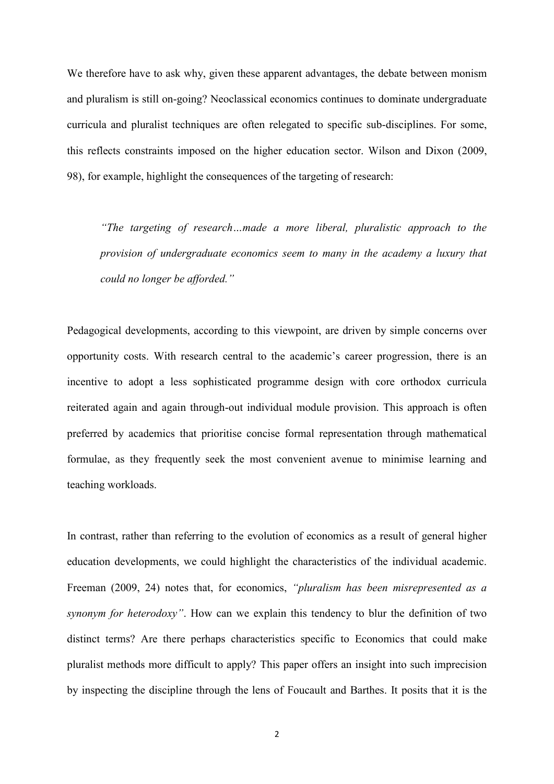We therefore have to ask why, given these apparent advantages, the debate between monism and pluralism is still on-going? Neoclassical economics continues to dominate undergraduate curricula and pluralist techniques are often relegated to specific sub-disciplines. For some, this reflects constraints imposed on the higher education sector. Wilson and Dixon (2009, 98), for example, highlight the consequences of the targeting of research:

*"The targeting of research…made a more liberal, pluralistic approach to the provision of undergraduate economics seem to many in the academy a luxury that could no longer be afforded."*

Pedagogical developments, according to this viewpoint, are driven by simple concerns over opportunity costs. With research central to the academic's career progression, there is an incentive to adopt a less sophisticated programme design with core orthodox curricula reiterated again and again through-out individual module provision. This approach is often preferred by academics that prioritise concise formal representation through mathematical formulae, as they frequently seek the most convenient avenue to minimise learning and teaching workloads.

In contrast, rather than referring to the evolution of economics as a result of general higher education developments, we could highlight the characteristics of the individual academic. Freeman (2009, 24) notes that, for economics, *"pluralism has been misrepresented as a synonym for heterodoxy"*. How can we explain this tendency to blur the definition of two distinct terms? Are there perhaps characteristics specific to Economics that could make pluralist methods more difficult to apply? This paper offers an insight into such imprecision by inspecting the discipline through the lens of Foucault and Barthes. It posits that it is the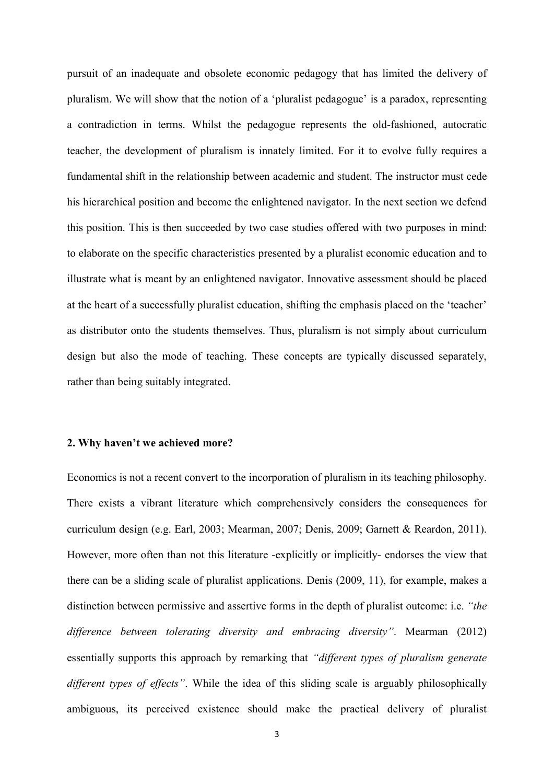pursuit of an inadequate and obsolete economic pedagogy that has limited the delivery of pluralism. We will show that the notion of a 'pluralist pedagogue' is a paradox, representing a contradiction in terms. Whilst the pedagogue represents the old-fashioned, autocratic teacher, the development of pluralism is innately limited. For it to evolve fully requires a fundamental shift in the relationship between academic and student. The instructor must cede his hierarchical position and become the enlightened navigator. In the next section we defend this position. This is then succeeded by two case studies offered with two purposes in mind: to elaborate on the specific characteristics presented by a pluralist economic education and to illustrate what is meant by an enlightened navigator. Innovative assessment should be placed at the heart of a successfully pluralist education, shifting the emphasis placed on the 'teacher' as distributor onto the students themselves. Thus, pluralism is not simply about curriculum design but also the mode of teaching. These concepts are typically discussed separately, rather than being suitably integrated.

#### **2. Why haven't we achieved more?**

Economics is not a recent convert to the incorporation of pluralism in its teaching philosophy. There exists a vibrant literature which comprehensively considers the consequences for curriculum design (e.g. Earl, 2003; Mearman, 2007; Denis, 2009; Garnett & Reardon, 2011). However, more often than not this literature -explicitly or implicitly- endorses the view that there can be a sliding scale of pluralist applications. Denis (2009, 11), for example, makes a distinction between permissive and assertive forms in the depth of pluralist outcome: i.e. *"the difference between tolerating diversity and embracing diversity"*. Mearman (2012) essentially supports this approach by remarking that *"different types of pluralism generate different types of effects"*. While the idea of this sliding scale is arguably philosophically ambiguous, its perceived existence should make the practical delivery of pluralist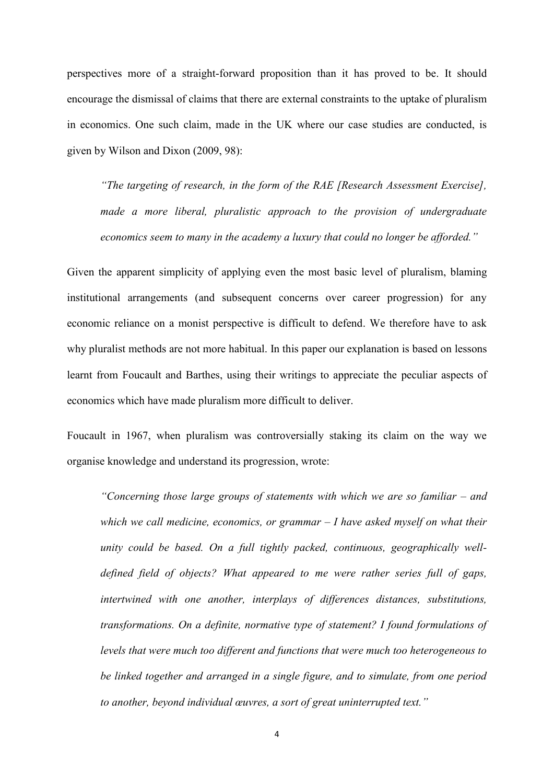perspectives more of a straight-forward proposition than it has proved to be. It should encourage the dismissal of claims that there are external constraints to the uptake of pluralism in economics. One such claim, made in the UK where our case studies are conducted, is given by Wilson and Dixon (2009, 98):

*"The targeting of research, in the form of the RAE [Research Assessment Exercise], made a more liberal, pluralistic approach to the provision of undergraduate economics seem to many in the academy a luxury that could no longer be afforded."*

Given the apparent simplicity of applying even the most basic level of pluralism, blaming institutional arrangements (and subsequent concerns over career progression) for any economic reliance on a monist perspective is difficult to defend. We therefore have to ask why pluralist methods are not more habitual. In this paper our explanation is based on lessons learnt from Foucault and Barthes, using their writings to appreciate the peculiar aspects of economics which have made pluralism more difficult to deliver.

Foucault in 1967, when pluralism was controversially staking its claim on the way we organise knowledge and understand its progression, wrote:

*"Concerning those large groups of statements with which we are so familiar – and which we call medicine, economics, or grammar – I have asked myself on what their unity could be based. On a full tightly packed, continuous, geographically welldefined field of objects? What appeared to me were rather series full of gaps, intertwined with one another, interplays of differences distances, substitutions, transformations. On a definite, normative type of statement? I found formulations of levels that were much too different and functions that were much too heterogeneous to be linked together and arranged in a single figure, and to simulate, from one period to another, beyond individual œuvres, a sort of great uninterrupted text."*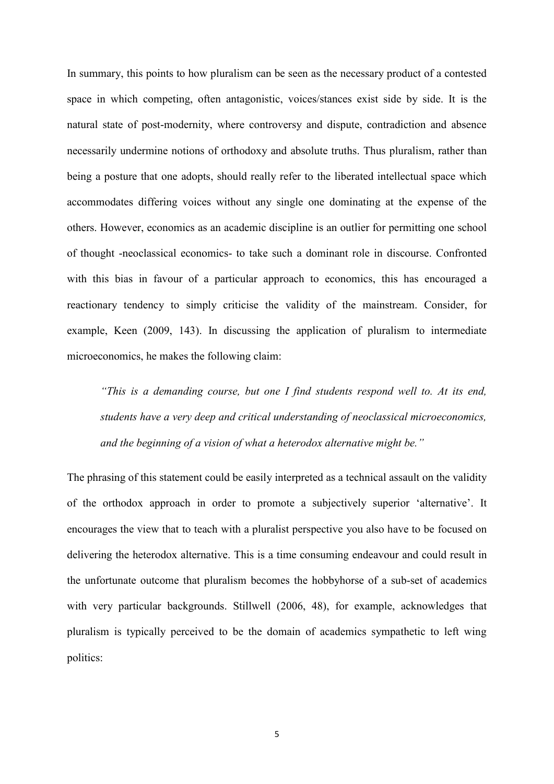In summary, this points to how pluralism can be seen as the necessary product of a contested space in which competing, often antagonistic, voices/stances exist side by side. It is the natural state of post-modernity, where controversy and dispute, contradiction and absence necessarily undermine notions of orthodoxy and absolute truths. Thus pluralism, rather than being a posture that one adopts, should really refer to the liberated intellectual space which accommodates differing voices without any single one dominating at the expense of the others. However, economics as an academic discipline is an outlier for permitting one school of thought -neoclassical economics- to take such a dominant role in discourse. Confronted with this bias in favour of a particular approach to economics, this has encouraged a reactionary tendency to simply criticise the validity of the mainstream. Consider, for example, Keen (2009, 143). In discussing the application of pluralism to intermediate microeconomics, he makes the following claim:

*"This is a demanding course, but one I find students respond well to. At its end, students have a very deep and critical understanding of neoclassical microeconomics, and the beginning of a vision of what a heterodox alternative might be."*

The phrasing of this statement could be easily interpreted as a technical assault on the validity of the orthodox approach in order to promote a subjectively superior 'alternative'. It encourages the view that to teach with a pluralist perspective you also have to be focused on delivering the heterodox alternative. This is a time consuming endeavour and could result in the unfortunate outcome that pluralism becomes the hobbyhorse of a sub-set of academics with very particular backgrounds. Stillwell (2006, 48), for example, acknowledges that pluralism is typically perceived to be the domain of academics sympathetic to left wing politics: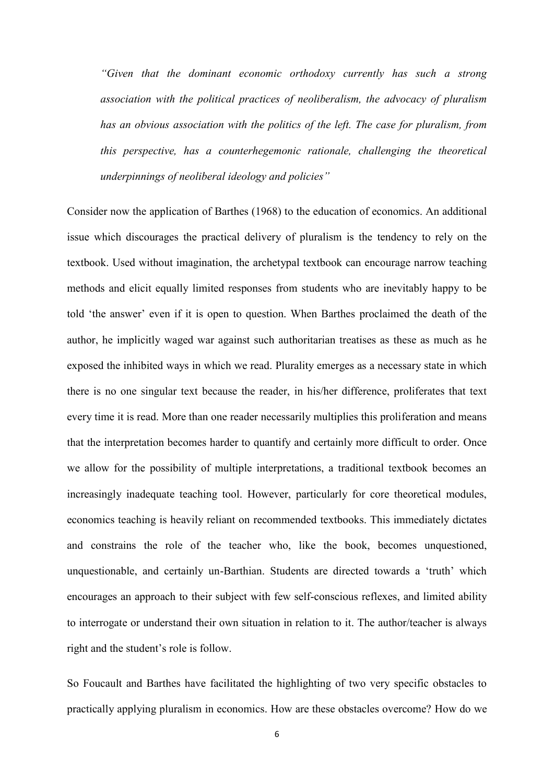*"Given that the dominant economic orthodoxy currently has such a strong association with the political practices of neoliberalism, the advocacy of pluralism has an obvious association with the politics of the left. The case for pluralism, from this perspective, has a counterhegemonic rationale, challenging the theoretical underpinnings of neoliberal ideology and policies"*

Consider now the application of Barthes (1968) to the education of economics. An additional issue which discourages the practical delivery of pluralism is the tendency to rely on the textbook. Used without imagination, the archetypal textbook can encourage narrow teaching methods and elicit equally limited responses from students who are inevitably happy to be told 'the answer' even if it is open to question. When Barthes proclaimed the death of the author, he implicitly waged war against such authoritarian treatises as these as much as he exposed the inhibited ways in which we read. Plurality emerges as a necessary state in which there is no one singular text because the reader, in his/her difference, proliferates that text every time it is read. More than one reader necessarily multiplies this proliferation and means that the interpretation becomes harder to quantify and certainly more difficult to order. Once we allow for the possibility of multiple interpretations, a traditional textbook becomes an increasingly inadequate teaching tool. However, particularly for core theoretical modules, economics teaching is heavily reliant on recommended textbooks. This immediately dictates and constrains the role of the teacher who, like the book, becomes unquestioned, unquestionable, and certainly un-Barthian. Students are directed towards a 'truth' which encourages an approach to their subject with few self-conscious reflexes, and limited ability to interrogate or understand their own situation in relation to it. The author/teacher is always right and the student's role is follow.

So Foucault and Barthes have facilitated the highlighting of two very specific obstacles to practically applying pluralism in economics. How are these obstacles overcome? How do we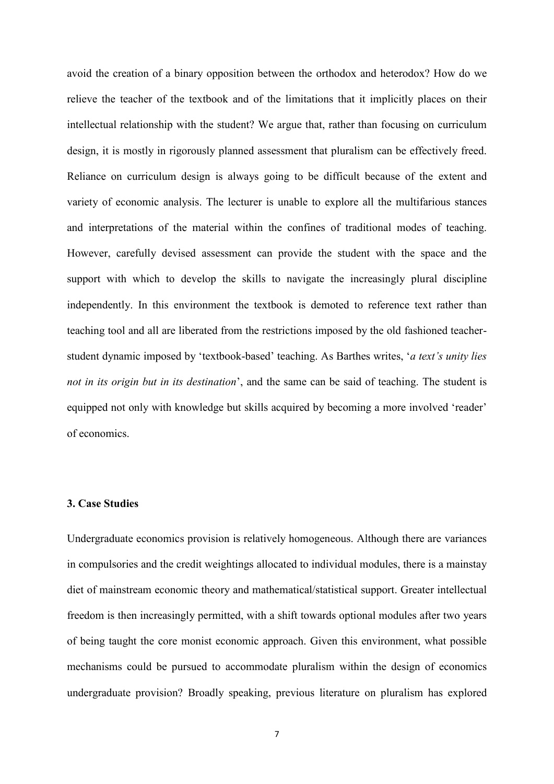avoid the creation of a binary opposition between the orthodox and heterodox? How do we relieve the teacher of the textbook and of the limitations that it implicitly places on their intellectual relationship with the student? We argue that, rather than focusing on curriculum design, it is mostly in rigorously planned assessment that pluralism can be effectively freed. Reliance on curriculum design is always going to be difficult because of the extent and variety of economic analysis. The lecturer is unable to explore all the multifarious stances and interpretations of the material within the confines of traditional modes of teaching. However, carefully devised assessment can provide the student with the space and the support with which to develop the skills to navigate the increasingly plural discipline independently. In this environment the textbook is demoted to reference text rather than teaching tool and all are liberated from the restrictions imposed by the old fashioned teacherstudent dynamic imposed by 'textbook-based' teaching. As Barthes writes, '*a text's unity lies not in its origin but in its destination*', and the same can be said of teaching. The student is equipped not only with knowledge but skills acquired by becoming a more involved 'reader' of economics.

### **3. Case Studies**

Undergraduate economics provision is relatively homogeneous. Although there are variances in compulsories and the credit weightings allocated to individual modules, there is a mainstay diet of mainstream economic theory and mathematical/statistical support. Greater intellectual freedom is then increasingly permitted, with a shift towards optional modules after two years of being taught the core monist economic approach. Given this environment, what possible mechanisms could be pursued to accommodate pluralism within the design of economics undergraduate provision? Broadly speaking, previous literature on pluralism has explored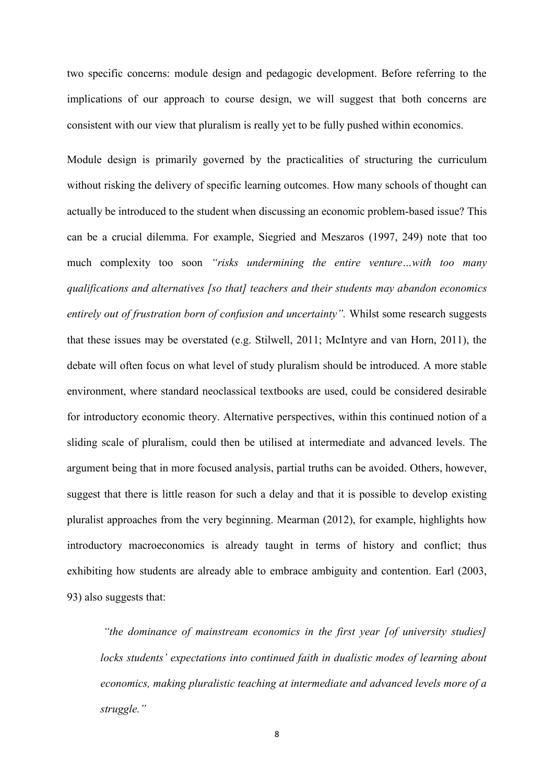two specific concerns: module design and pedagogic development. Before referring to the implications of our approach to course design, we will suggest that both concerns are consistent with our view that pluralism is really yet to be fully pushed within economics.

Module design is primarily governed by the practicalities of structuring the curriculum without risking the delivery of specific learning outcomes. How many schools of thought can actually be introduced to the student when discussing an economic problem-based issue? This can be a crucial dilemma. For example, Siegried and Meszaros (1997, 249) note that too much complexity too soon *"risks undermining the entire venture…with too many qualifications and alternatives [so that] teachers and their students may abandon economics entirely out of frustration born of confusion and uncertainty".* Whilst some research suggests that these issues may be overstated (e.g. Stilwell, 2011; McIntyre and van Horn, 2011), the debate will often focus on what level of study pluralism should be introduced. A more stable environment, where standard neoclassical textbooks are used, could be considered desirable for introductory economic theory. Alternative perspectives, within this continued notion of a sliding scale of pluralism, could then be utilised at intermediate and advanced levels. The argument being that in more focused analysis, partial truths can be avoided. Others, however, suggest that there is little reason for such a delay and that it is possible to develop existing pluralist approaches from the very beginning. Mearman (2012), for example, highlights how introductory macroeconomics is already taught in terms of history and conflict; thus exhibiting how students are already able to embrace ambiguity and contention. Earl (2003, 93) also suggests that:

*"the dominance of mainstream economics in the first year [of university studies] locks students' expectations into continued faith in dualistic modes of learning about economics, making pluralistic teaching at intermediate and advanced levels more of a struggle."*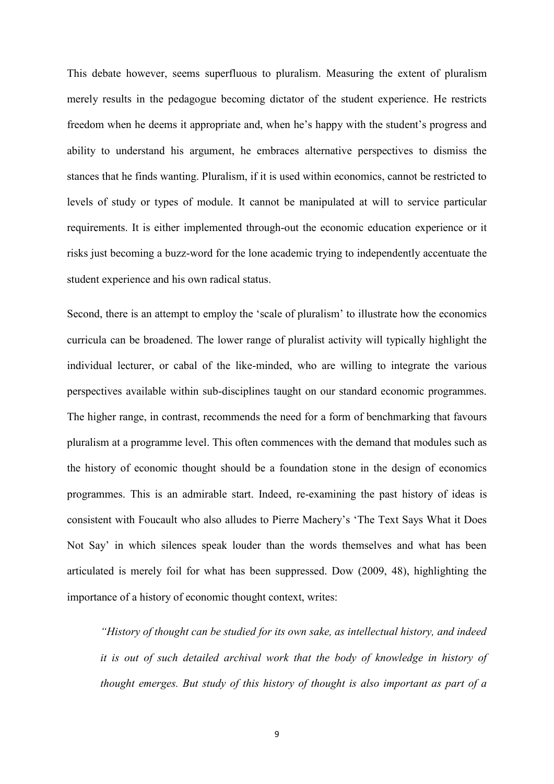This debate however, seems superfluous to pluralism. Measuring the extent of pluralism merely results in the pedagogue becoming dictator of the student experience. He restricts freedom when he deems it appropriate and, when he's happy with the student's progress and ability to understand his argument, he embraces alternative perspectives to dismiss the stances that he finds wanting. Pluralism, if it is used within economics, cannot be restricted to levels of study or types of module. It cannot be manipulated at will to service particular requirements. It is either implemented through-out the economic education experience or it risks just becoming a buzz-word for the lone academic trying to independently accentuate the student experience and his own radical status.

Second, there is an attempt to employ the 'scale of pluralism' to illustrate how the economics curricula can be broadened. The lower range of pluralist activity will typically highlight the individual lecturer, or cabal of the like-minded, who are willing to integrate the various perspectives available within sub-disciplines taught on our standard economic programmes. The higher range, in contrast, recommends the need for a form of benchmarking that favours pluralism at a programme level. This often commences with the demand that modules such as the history of economic thought should be a foundation stone in the design of economics programmes. This is an admirable start. Indeed, re-examining the past history of ideas is consistent with Foucault who also alludes to Pierre Machery's 'The Text Says What it Does Not Say' in which silences speak louder than the words themselves and what has been articulated is merely foil for what has been suppressed. Dow (2009, 48), highlighting the importance of a history of economic thought context, writes:

*"History of thought can be studied for its own sake, as intellectual history, and indeed it is out of such detailed archival work that the body of knowledge in history of thought emerges. But study of this history of thought is also important as part of a*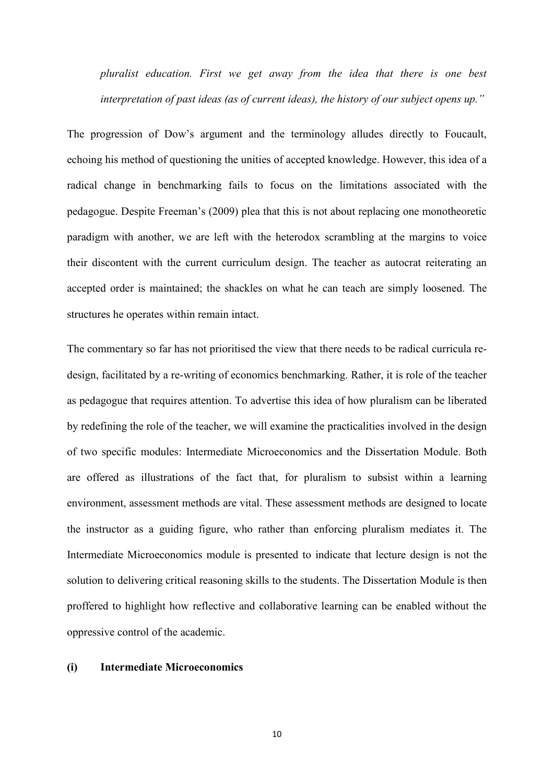*pluralist education. First we get away from the idea that there is one best interpretation of past ideas (as of current ideas), the history of our subject opens up."*

The progression of Dow's argument and the terminology alludes directly to Foucault, echoing his method of questioning the unities of accepted knowledge. However, this idea of a radical change in benchmarking fails to focus on the limitations associated with the pedagogue. Despite Freeman's (2009) plea that this is not about replacing one monotheoretic paradigm with another, we are left with the heterodox scrambling at the margins to voice their discontent with the current curriculum design. The teacher as autocrat reiterating an accepted order is maintained; the shackles on what he can teach are simply loosened. The structures he operates within remain intact.

The commentary so far has not prioritised the view that there needs to be radical curricula redesign, facilitated by a re-writing of economics benchmarking. Rather, it is role of the teacher as pedagogue that requires attention. To advertise this idea of how pluralism can be liberated by redefining the role of the teacher, we will examine the practicalities involved in the design of two specific modules: Intermediate Microeconomics and the Dissertation Module. Both are offered as illustrations of the fact that, for pluralism to subsist within a learning environment, assessment methods are vital. These assessment methods are designed to locate the instructor as a guiding figure, who rather than enforcing pluralism mediates it. The Intermediate Microeconomics module is presented to indicate that lecture design is not the solution to delivering critical reasoning skills to the students. The Dissertation Module is then proffered to highlight how reflective and collaborative learning can be enabled without the oppressive control of the academic.

### **(i) Intermediate Microeconomics**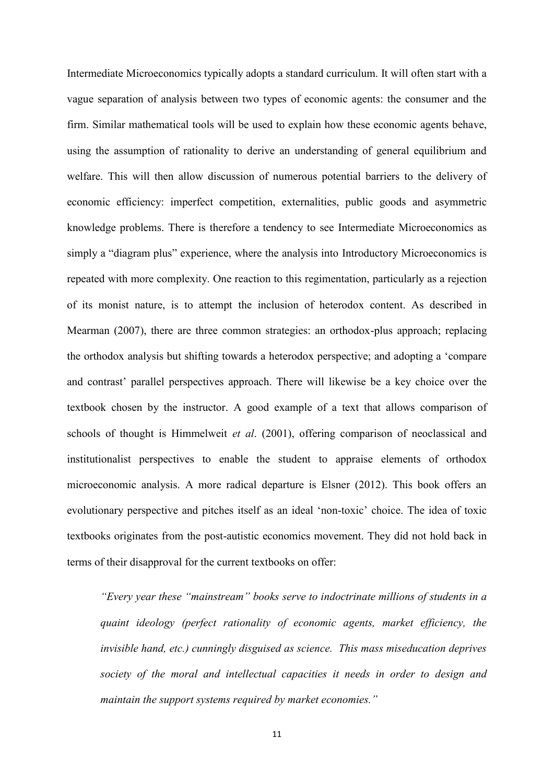Intermediate Microeconomics typically adopts a standard curriculum. It will often start with a vague separation of analysis between two types of economic agents: the consumer and the firm. Similar mathematical tools will be used to explain how these economic agents behave, using the assumption of rationality to derive an understanding of general equilibrium and welfare. This will then allow discussion of numerous potential barriers to the delivery of economic efficiency: imperfect competition, externalities, public goods and asymmetric knowledge problems. There is therefore a tendency to see Intermediate Microeconomics as simply a "diagram plus" experience, where the analysis into Introductory Microeconomics is repeated with more complexity. One reaction to this regimentation, particularly as a rejection of its monist nature, is to attempt the inclusion of heterodox content. As described in Mearman (2007), there are three common strategies: an orthodox-plus approach; replacing the orthodox analysis but shifting towards a heterodox perspective; and adopting a 'compare and contrast' parallel perspectives approach. There will likewise be a key choice over the textbook chosen by the instructor. A good example of a text that allows comparison of schools of thought is Himmelweit *et al*. (2001), offering comparison of neoclassical and institutionalist perspectives to enable the student to appraise elements of orthodox microeconomic analysis. A more radical departure is Elsner (2012). This book offers an evolutionary perspective and pitches itself as an ideal 'non-toxic' choice. The idea of toxic textbooks originates from the post-autistic economics movement. They did not hold back in terms of their disapproval for the current textbooks on offer:

*"Every year these "mainstream" books serve to indoctrinate millions of students in a quaint ideology (perfect rationality of economic agents, market efficiency, the invisible hand, etc.) cunningly disguised as science. This mass miseducation deprives society of the moral and intellectual capacities it needs in order to design and maintain the support systems required by market economies."*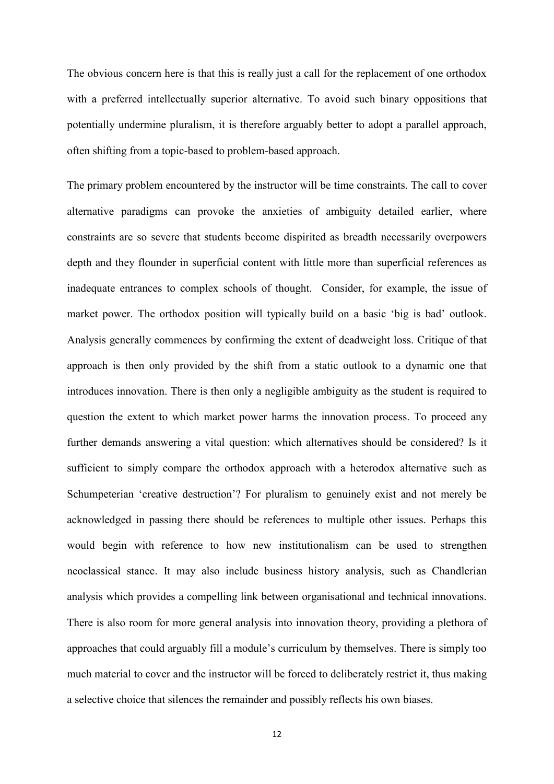The obvious concern here is that this is really just a call for the replacement of one orthodox with a preferred intellectually superior alternative. To avoid such binary oppositions that potentially undermine pluralism, it is therefore arguably better to adopt a parallel approach, often shifting from a topic-based to problem-based approach.

The primary problem encountered by the instructor will be time constraints. The call to cover alternative paradigms can provoke the anxieties of ambiguity detailed earlier, where constraints are so severe that students become dispirited as breadth necessarily overpowers depth and they flounder in superficial content with little more than superficial references as inadequate entrances to complex schools of thought. Consider, for example, the issue of market power. The orthodox position will typically build on a basic 'big is bad' outlook. Analysis generally commences by confirming the extent of deadweight loss. Critique of that approach is then only provided by the shift from a static outlook to a dynamic one that introduces innovation. There is then only a negligible ambiguity as the student is required to question the extent to which market power harms the innovation process. To proceed any further demands answering a vital question: which alternatives should be considered? Is it sufficient to simply compare the orthodox approach with a heterodox alternative such as Schumpeterian 'creative destruction'? For pluralism to genuinely exist and not merely be acknowledged in passing there should be references to multiple other issues. Perhaps this would begin with reference to how new institutionalism can be used to strengthen neoclassical stance. It may also include business history analysis, such as Chandlerian analysis which provides a compelling link between organisational and technical innovations. There is also room for more general analysis into innovation theory, providing a plethora of approaches that could arguably fill a module's curriculum by themselves. There is simply too much material to cover and the instructor will be forced to deliberately restrict it, thus making a selective choice that silences the remainder and possibly reflects his own biases.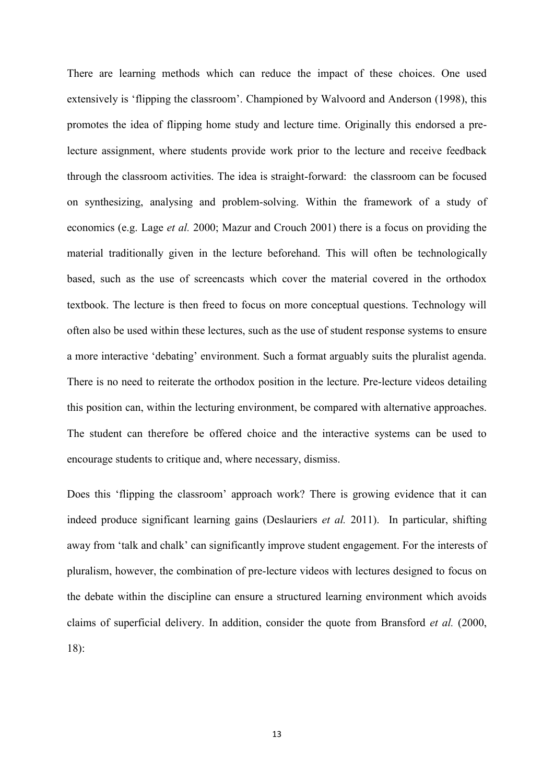There are learning methods which can reduce the impact of these choices. One used extensively is 'flipping the classroom'. Championed by Walvoord and Anderson (1998), this promotes the idea of flipping home study and lecture time. Originally this endorsed a prelecture assignment, where students provide work prior to the lecture and receive feedback through the classroom activities. The idea is straight-forward: the classroom can be focused on synthesizing, analysing and problem-solving. Within the framework of a study of economics (e.g. Lage *et al.* 2000; Mazur and Crouch 2001) there is a focus on providing the material traditionally given in the lecture beforehand. This will often be technologically based, such as the use of screencasts which cover the material covered in the orthodox textbook. The lecture is then freed to focus on more conceptual questions. Technology will often also be used within these lectures, such as the use of student response systems to ensure a more interactive 'debating' environment. Such a format arguably suits the pluralist agenda. There is no need to reiterate the orthodox position in the lecture. Pre-lecture videos detailing this position can, within the lecturing environment, be compared with alternative approaches. The student can therefore be offered choice and the interactive systems can be used to encourage students to critique and, where necessary, dismiss.

Does this 'flipping the classroom' approach work? There is growing evidence that it can indeed produce significant learning gains (Deslauriers *et al.* 2011). In particular, shifting away from 'talk and chalk' can significantly improve student engagement. For the interests of pluralism, however, the combination of pre-lecture videos with lectures designed to focus on the debate within the discipline can ensure a structured learning environment which avoids claims of superficial delivery. In addition, consider the quote from Bransford *et al.* (2000, 18):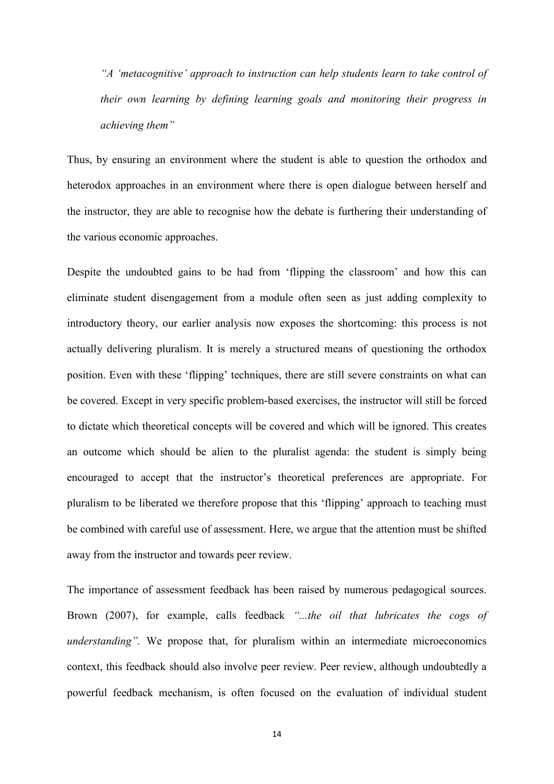*"A 'metacognitive' approach to instruction can help students learn to take control of their own learning by defining learning goals and monitoring their progress in achieving them"*

Thus, by ensuring an environment where the student is able to question the orthodox and heterodox approaches in an environment where there is open dialogue between herself and the instructor, they are able to recognise how the debate is furthering their understanding of the various economic approaches.

Despite the undoubted gains to be had from 'flipping the classroom' and how this can eliminate student disengagement from a module often seen as just adding complexity to introductory theory, our earlier analysis now exposes the shortcoming: this process is not actually delivering pluralism. It is merely a structured means of questioning the orthodox position. Even with these 'flipping' techniques, there are still severe constraints on what can be covered. Except in very specific problem-based exercises, the instructor will still be forced to dictate which theoretical concepts will be covered and which will be ignored. This creates an outcome which should be alien to the pluralist agenda: the student is simply being encouraged to accept that the instructor's theoretical preferences are appropriate. For pluralism to be liberated we therefore propose that this 'flipping' approach to teaching must be combined with careful use of assessment. Here, we argue that the attention must be shifted away from the instructor and towards peer review.

The importance of assessment feedback has been raised by numerous pedagogical sources. Brown (2007), for example, calls feedback *"...the oil that lubricates the cogs of understanding".* We propose that, for pluralism within an intermediate microeconomics context, this feedback should also involve peer review. Peer review, although undoubtedly a powerful feedback mechanism, is often focused on the evaluation of individual student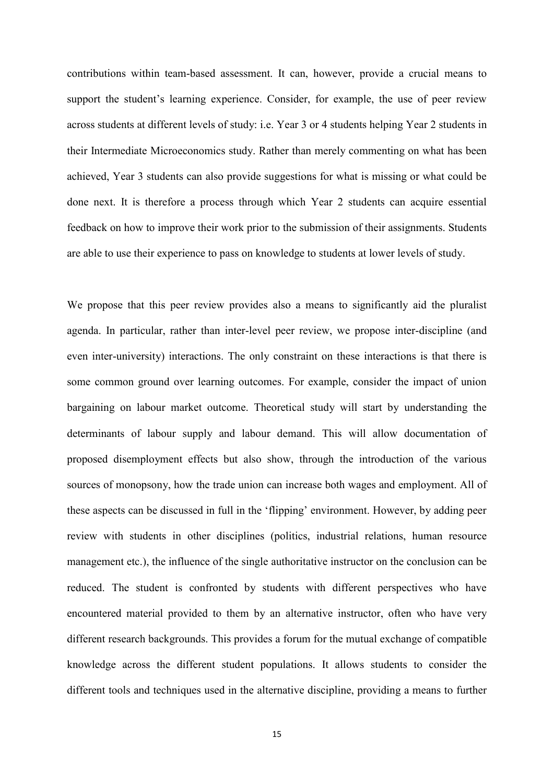contributions within team-based assessment. It can, however, provide a crucial means to support the student's learning experience. Consider, for example, the use of peer review across students at different levels of study: i.e. Year 3 or 4 students helping Year 2 students in their Intermediate Microeconomics study. Rather than merely commenting on what has been achieved, Year 3 students can also provide suggestions for what is missing or what could be done next. It is therefore a process through which Year 2 students can acquire essential feedback on how to improve their work prior to the submission of their assignments. Students are able to use their experience to pass on knowledge to students at lower levels of study.

We propose that this peer review provides also a means to significantly aid the pluralist agenda. In particular, rather than inter-level peer review, we propose inter-discipline (and even inter-university) interactions. The only constraint on these interactions is that there is some common ground over learning outcomes. For example, consider the impact of union bargaining on labour market outcome. Theoretical study will start by understanding the determinants of labour supply and labour demand. This will allow documentation of proposed disemployment effects but also show, through the introduction of the various sources of monopsony, how the trade union can increase both wages and employment. All of these aspects can be discussed in full in the 'flipping' environment. However, by adding peer review with students in other disciplines (politics, industrial relations, human resource management etc.), the influence of the single authoritative instructor on the conclusion can be reduced. The student is confronted by students with different perspectives who have encountered material provided to them by an alternative instructor, often who have very different research backgrounds. This provides a forum for the mutual exchange of compatible knowledge across the different student populations. It allows students to consider the different tools and techniques used in the alternative discipline, providing a means to further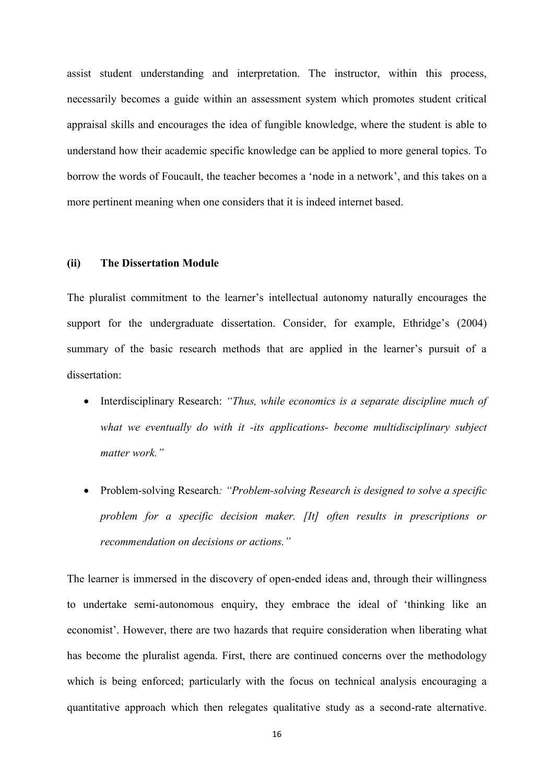assist student understanding and interpretation. The instructor, within this process, necessarily becomes a guide within an assessment system which promotes student critical appraisal skills and encourages the idea of fungible knowledge, where the student is able to understand how their academic specific knowledge can be applied to more general topics. To borrow the words of Foucault, the teacher becomes a 'node in a network', and this takes on a more pertinent meaning when one considers that it is indeed internet based.

### **(ii) The Dissertation Module**

The pluralist commitment to the learner's intellectual autonomy naturally encourages the support for the undergraduate dissertation. Consider, for example, Ethridge's (2004) summary of the basic research methods that are applied in the learner's pursuit of a dissertation:

- Interdisciplinary Research: *"Thus, while economics is a separate discipline much of what we eventually do with it -its applications- become multidisciplinary subject matter work."*
- Problem-solving Research*: "Problem-solving Research is designed to solve a specific problem for a specific decision maker. [It] often results in prescriptions or recommendation on decisions or actions."*

The learner is immersed in the discovery of open-ended ideas and, through their willingness to undertake semi-autonomous enquiry, they embrace the ideal of 'thinking like an economist'. However, there are two hazards that require consideration when liberating what has become the pluralist agenda. First, there are continued concerns over the methodology which is being enforced; particularly with the focus on technical analysis encouraging a quantitative approach which then relegates qualitative study as a second-rate alternative.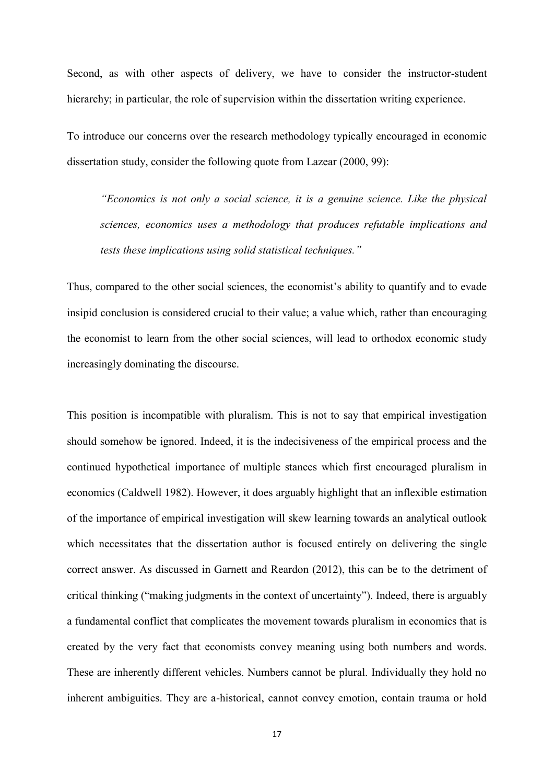Second, as with other aspects of delivery, we have to consider the instructor-student hierarchy; in particular, the role of supervision within the dissertation writing experience.

To introduce our concerns over the research methodology typically encouraged in economic dissertation study, consider the following quote from Lazear (2000, 99):

*"Economics is not only a social science, it is a genuine science. Like the physical sciences, economics uses a methodology that produces refutable implications and tests these implications using solid statistical techniques."*

Thus, compared to the other social sciences, the economist's ability to quantify and to evade insipid conclusion is considered crucial to their value; a value which, rather than encouraging the economist to learn from the other social sciences, will lead to orthodox economic study increasingly dominating the discourse.

This position is incompatible with pluralism. This is not to say that empirical investigation should somehow be ignored. Indeed, it is the indecisiveness of the empirical process and the continued hypothetical importance of multiple stances which first encouraged pluralism in economics (Caldwell 1982). However, it does arguably highlight that an inflexible estimation of the importance of empirical investigation will skew learning towards an analytical outlook which necessitates that the dissertation author is focused entirely on delivering the single correct answer. As discussed in Garnett and Reardon (2012), this can be to the detriment of critical thinking ("making judgments in the context of uncertainty"). Indeed, there is arguably a fundamental conflict that complicates the movement towards pluralism in economics that is created by the very fact that economists convey meaning using both numbers and words. These are inherently different vehicles. Numbers cannot be plural. Individually they hold no inherent ambiguities. They are a-historical, cannot convey emotion, contain trauma or hold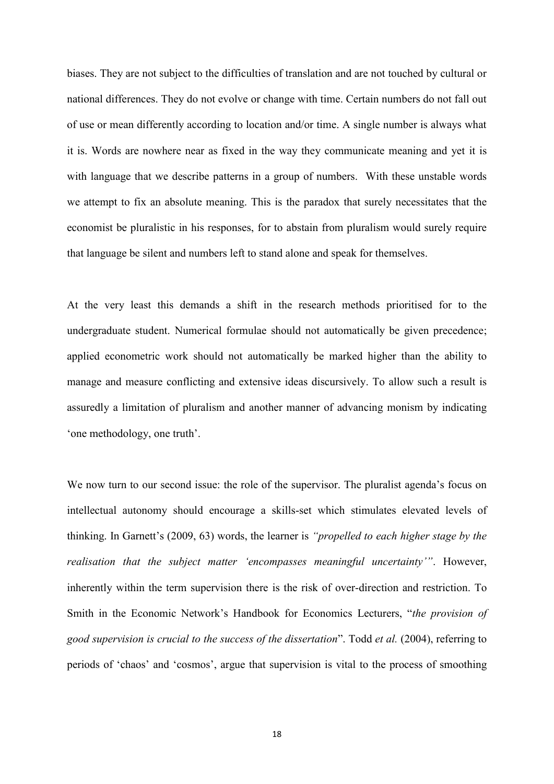biases. They are not subject to the difficulties of translation and are not touched by cultural or national differences. They do not evolve or change with time. Certain numbers do not fall out of use or mean differently according to location and/or time. A single number is always what it is. Words are nowhere near as fixed in the way they communicate meaning and yet it is with language that we describe patterns in a group of numbers. With these unstable words we attempt to fix an absolute meaning. This is the paradox that surely necessitates that the economist be pluralistic in his responses, for to abstain from pluralism would surely require that language be silent and numbers left to stand alone and speak for themselves.

At the very least this demands a shift in the research methods prioritised for to the undergraduate student. Numerical formulae should not automatically be given precedence; applied econometric work should not automatically be marked higher than the ability to manage and measure conflicting and extensive ideas discursively. To allow such a result is assuredly a limitation of pluralism and another manner of advancing monism by indicating 'one methodology, one truth'.

We now turn to our second issue: the role of the supervisor. The pluralist agenda's focus on intellectual autonomy should encourage a skills-set which stimulates elevated levels of thinking. In Garnett's (2009, 63) words, the learner is *"propelled to each higher stage by the realisation that the subject matter 'encompasses meaningful uncertainty'"*. However, inherently within the term supervision there is the risk of over-direction and restriction. To Smith in the Economic Network's Handbook for Economics Lecturers, "*the provision of good supervision is crucial to the success of the dissertation*". Todd *et al.* (2004), referring to periods of 'chaos' and 'cosmos', argue that supervision is vital to the process of smoothing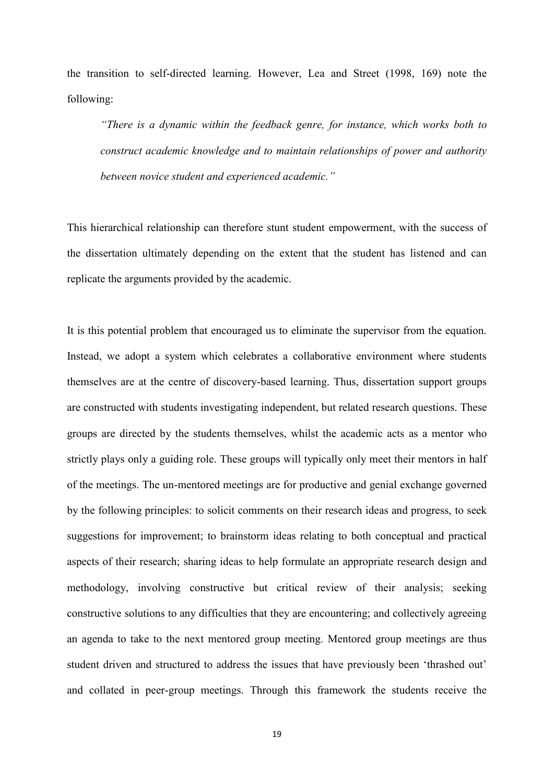the transition to self-directed learning. However, Lea and Street (1998, 169) note the following:

*"There is a dynamic within the feedback genre, for instance, which works both to construct academic knowledge and to maintain relationships of power and authority between novice student and experienced academic."*

This hierarchical relationship can therefore stunt student empowerment, with the success of the dissertation ultimately depending on the extent that the student has listened and can replicate the arguments provided by the academic.

It is this potential problem that encouraged us to eliminate the supervisor from the equation. Instead, we adopt a system which celebrates a collaborative environment where students themselves are at the centre of discovery-based learning. Thus, dissertation support groups are constructed with students investigating independent, but related research questions. These groups are directed by the students themselves, whilst the academic acts as a mentor who strictly plays only a guiding role. These groups will typically only meet their mentors in half of the meetings. The un-mentored meetings are for productive and genial exchange governed by the following principles: to solicit comments on their research ideas and progress, to seek suggestions for improvement; to brainstorm ideas relating to both conceptual and practical aspects of their research; sharing ideas to help formulate an appropriate research design and methodology, involving constructive but critical review of their analysis; seeking constructive solutions to any difficulties that they are encountering; and collectively agreeing an agenda to take to the next mentored group meeting. Mentored group meetings are thus student driven and structured to address the issues that have previously been 'thrashed out' and collated in peer-group meetings. Through this framework the students receive the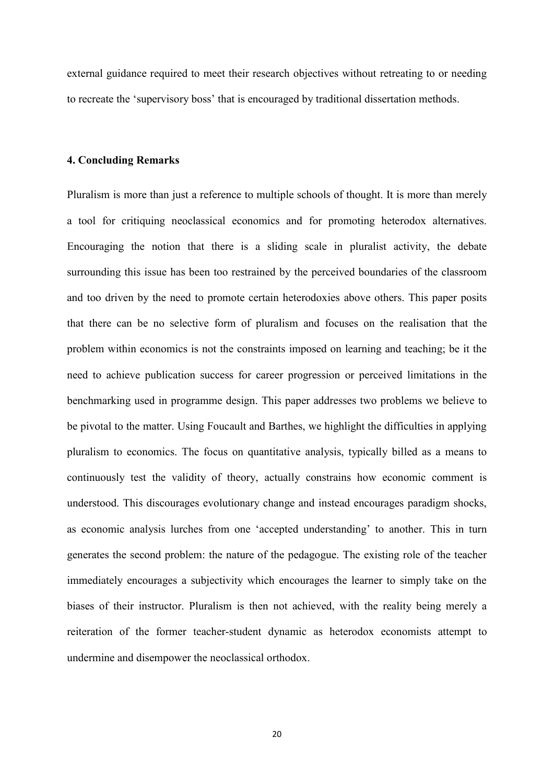external guidance required to meet their research objectives without retreating to or needing to recreate the 'supervisory boss' that is encouraged by traditional dissertation methods.

### **4. Concluding Remarks**

Pluralism is more than just a reference to multiple schools of thought. It is more than merely a tool for critiquing neoclassical economics and for promoting heterodox alternatives. Encouraging the notion that there is a sliding scale in pluralist activity, the debate surrounding this issue has been too restrained by the perceived boundaries of the classroom and too driven by the need to promote certain heterodoxies above others. This paper posits that there can be no selective form of pluralism and focuses on the realisation that the problem within economics is not the constraints imposed on learning and teaching; be it the need to achieve publication success for career progression or perceived limitations in the benchmarking used in programme design. This paper addresses two problems we believe to be pivotal to the matter. Using Foucault and Barthes, we highlight the difficulties in applying pluralism to economics. The focus on quantitative analysis, typically billed as a means to continuously test the validity of theory, actually constrains how economic comment is understood. This discourages evolutionary change and instead encourages paradigm shocks, as economic analysis lurches from one 'accepted understanding' to another. This in turn generates the second problem: the nature of the pedagogue. The existing role of the teacher immediately encourages a subjectivity which encourages the learner to simply take on the biases of their instructor. Pluralism is then not achieved, with the reality being merely a reiteration of the former teacher-student dynamic as heterodox economists attempt to undermine and disempower the neoclassical orthodox.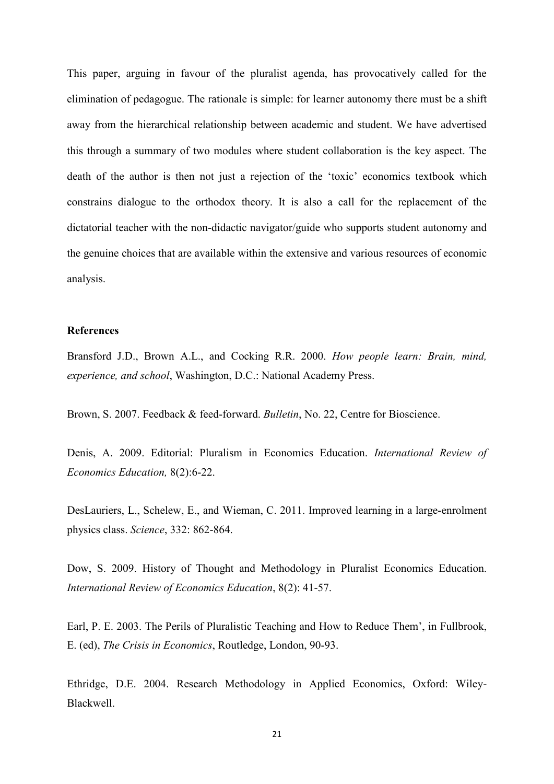This paper, arguing in favour of the pluralist agenda, has provocatively called for the elimination of pedagogue. The rationale is simple: for learner autonomy there must be a shift away from the hierarchical relationship between academic and student. We have advertised this through a summary of two modules where student collaboration is the key aspect. The death of the author is then not just a rejection of the 'toxic' economics textbook which constrains dialogue to the orthodox theory. It is also a call for the replacement of the dictatorial teacher with the non-didactic navigator/guide who supports student autonomy and the genuine choices that are available within the extensive and various resources of economic analysis.

#### **References**

Bransford J.D., Brown A.L., and Cocking R.R. 2000. *How people learn: Brain, mind, experience, and school*, Washington, D.C.: National Academy Press.

Brown, S. 2007. Feedback & feed-forward. *Bulletin*, No. 22, Centre for Bioscience.

Denis, A. 2009. Editorial: Pluralism in Economics Education. *International Review of Economics Education,* 8(2):6-22.

DesLauriers, L., Schelew, E., and Wieman, C. 2011. Improved learning in a large-enrolment physics class. *Science*, 332: 862-864.

Dow, S. 2009. History of Thought and Methodology in Pluralist Economics Education. *International Review of Economics Education*, 8(2): 41-57.

Earl, P. E. 2003. The Perils of Pluralistic Teaching and How to Reduce Them', in Fullbrook, E. (ed), *The Crisis in Economics*, Routledge, London, 90-93.

Ethridge, D.E. 2004. Research Methodology in Applied Economics, Oxford: Wiley-Blackwell.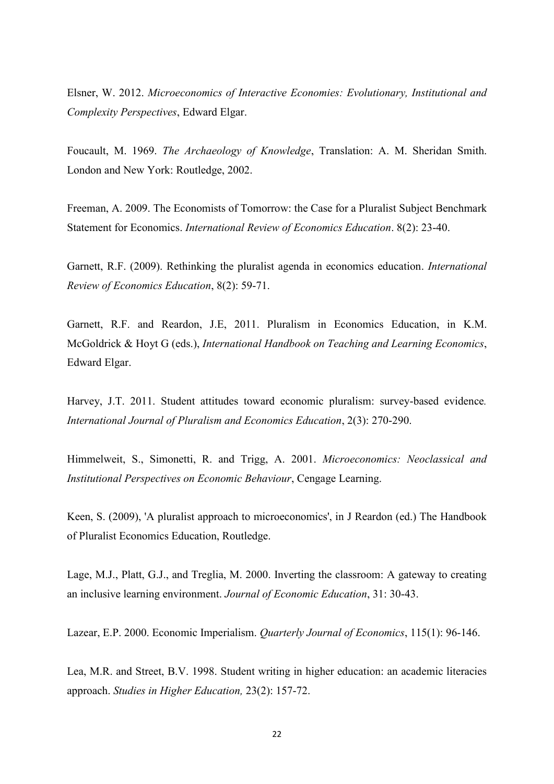Elsner, W. 2012. *Microeconomics of Interactive Economies: Evolutionary, Institutional and Complexity Perspectives*, Edward Elgar.

Foucault, M. 1969. *The Archaeology of Knowledge*, Translation: A. M. Sheridan Smith. London and New York: Routledge, 2002.

Freeman, A. 2009. The Economists of Tomorrow: the Case for a Pluralist Subject Benchmark Statement for Economics. *International Review of Economics Education*. 8(2): 23-40.

Garnett, R.F. (2009). Rethinking the pluralist agenda in economics education. *International Review of Economics Education*, 8(2): 59-71.

Garnett, R.F. and Reardon, J.E, 2011. Pluralism in Economics Education, in K.M. McGoldrick & Hoyt G (eds.), *International Handbook on Teaching and Learning Economics*, Edward Elgar.

Harvey, J.T. 2011. Student attitudes toward economic pluralism: survey-based evidence*. International Journal of Pluralism and Economics Education*, 2(3): 270-290.

Himmelweit, S., Simonetti, R. and Trigg, A. 2001. *Microeconomics: Neoclassical and Institutional Perspectives on Economic Behaviour*, Cengage Learning.

Keen, S. (2009), 'A pluralist approach to microeconomics', in J Reardon (ed.) The Handbook of Pluralist Economics Education, Routledge.

Lage, M.J., Platt, G.J., and Treglia, M. 2000. Inverting the classroom: A gateway to creating an inclusive learning environment. *Journal of Economic Education*, 31: 30-43.

Lazear, E.P. 2000. Economic Imperialism. *Quarterly Journal of Economics*, 115(1): 96-146.

Lea, M.R. and Street, B.V. 1998. Student writing in higher education: an academic literacies approach. *Studies in Higher Education,* 23(2): 157-72.